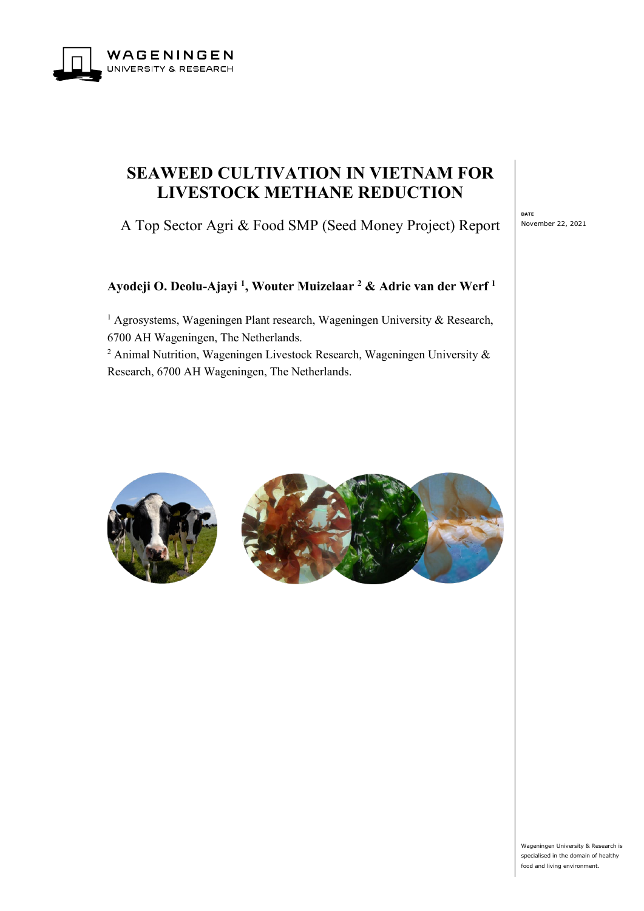

# **SEAWEED CULTIVATION IN VIETNAM FOR LIVESTOCK METHANE REDUCTION**

A Top Sector Agri & Food SMP (Seed Money Project) Report

**DATE** November 22, 2021

# **Ayodeji O. Deolu-Ajayi 1, Wouter Muizelaar <sup>2</sup> & Adrie van der Werf <sup>1</sup>**

<sup>1</sup> Agrosystems, Wageningen Plant research, Wageningen University & Research, 6700 AH Wageningen, The Netherlands.

<sup>2</sup> Animal Nutrition, Wageningen Livestock Research, Wageningen University  $\&$ Research, 6700 AH Wageningen, The Netherlands.





Wageningen University & Research is specialised in the domain of healthy food and living environment.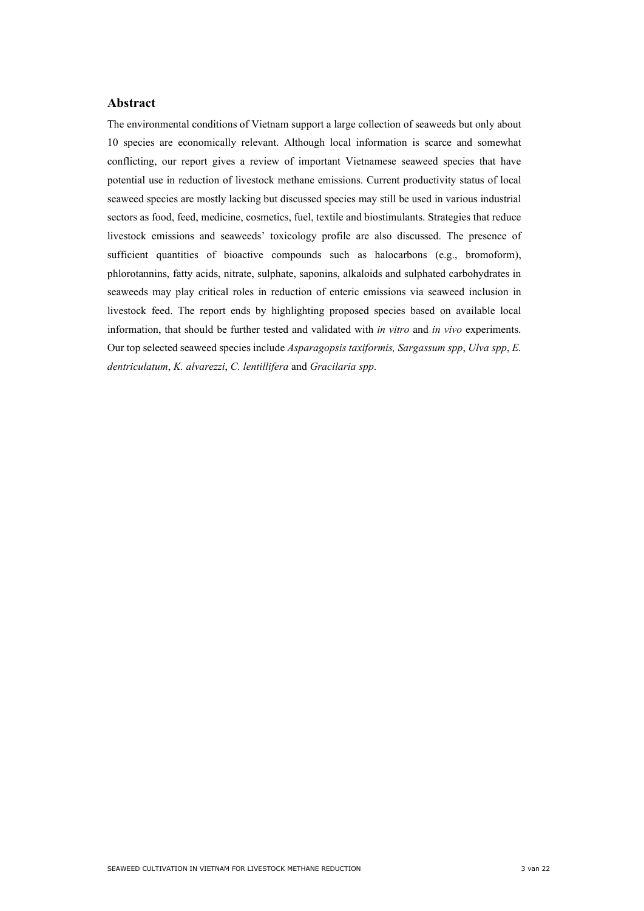## **Abstract**

The environmental conditions of Vietnam support a large collection of seaweeds but only about 10 species are economically relevant. Although local information is scarce and somewhat conflicting, our report gives a review of important Vietnamese seaweed species that have potential use in reduction of livestock methane emissions. Current productivity status of local seaweed species are mostly lacking but discussed species may still be used in various industrial sectors as food, feed, medicine, cosmetics, fuel, textile and biostimulants. Strategies that reduce livestock emissions and seaweeds' toxicology profile are also discussed. The presence of sufficient quantities of bioactive compounds such as halocarbons (e.g., bromoform), phlorotannins, fatty acids, nitrate, sulphate, saponins, alkaloids and sulphated carbohydrates in seaweeds may play critical roles in reduction of enteric emissions via seaweed inclusion in livestock feed. The report ends by highlighting proposed species based on available local information, that should be further tested and validated with *in vitro* and *in vivo* experiments. Our top selected seaweed species include *Asparagopsis taxiformis, Sargassum spp*, *Ulva spp*, *E. dentriculatum*, *K. alvarezzi*, *C. lentillifera* and *Gracilaria spp*.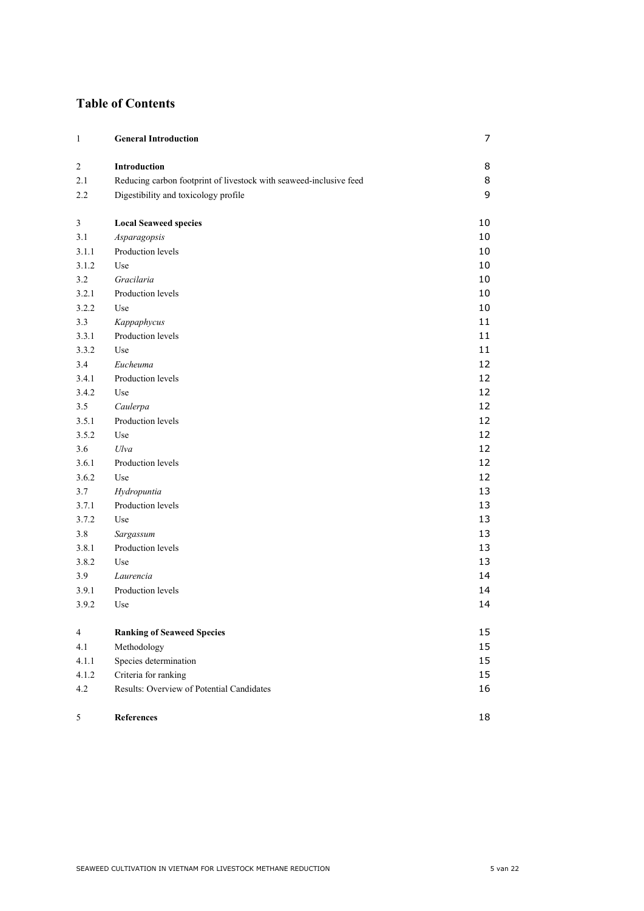# **Table of Contents**

| 1              | <b>General Introduction</b>                                        | 7  |
|----------------|--------------------------------------------------------------------|----|
| $\mathfrak{2}$ | Introduction                                                       | 8  |
| 2.1            | Reducing carbon footprint of livestock with seaweed-inclusive feed | 8  |
| 2.2            | Digestibility and toxicology profile                               | 9  |
| 3              | <b>Local Seaweed species</b>                                       | 10 |
| 3.1            | Asparagopsis                                                       | 10 |
| 3.1.1          | Production levels                                                  | 10 |
| 3.1.2          | Use                                                                | 10 |
| 3.2            | Gracilaria                                                         | 10 |
| 3.2.1          | Production levels                                                  | 10 |
| 3.2.2          | Use                                                                | 10 |
| 3.3            | Kappaphycus                                                        | 11 |
| 3.3.1          | Production levels                                                  | 11 |
| 3.3.2          | Use                                                                | 11 |
| 3.4            | Eucheuma                                                           | 12 |
| 3.4.1          | Production levels                                                  | 12 |
| 3.4.2          | Use                                                                | 12 |
| 3.5            | Caulerpa                                                           | 12 |
| 3.5.1          | Production levels                                                  | 12 |
| 3.5.2          | Use                                                                | 12 |
| 3.6            | Ulva                                                               | 12 |
| 3.6.1          | Production levels                                                  | 12 |
| 3.6.2          | Use                                                                | 12 |
| 3.7            | Hydropuntia                                                        | 13 |
| 3.7.1          | Production levels                                                  | 13 |
| 3.7.2          | Use                                                                | 13 |
| 3.8            | Sargassum                                                          | 13 |
| 3.8.1          | Production levels                                                  | 13 |
| 3.8.2          | Use                                                                | 13 |
| 3.9            | Laurencia                                                          | 14 |
| 3.9.1          | Production levels                                                  | 14 |
| 3.9.2          | Use                                                                | 14 |
| 4              | <b>Ranking of Seaweed Species</b>                                  | 15 |
| 4.1            | Methodology                                                        | 15 |
| 4.1.1          | Species determination                                              | 15 |
| 4.1.2          | Criteria for ranking                                               | 15 |
| 4.2            | Results: Overview of Potential Candidates                          | 16 |
| 5              | References                                                         | 18 |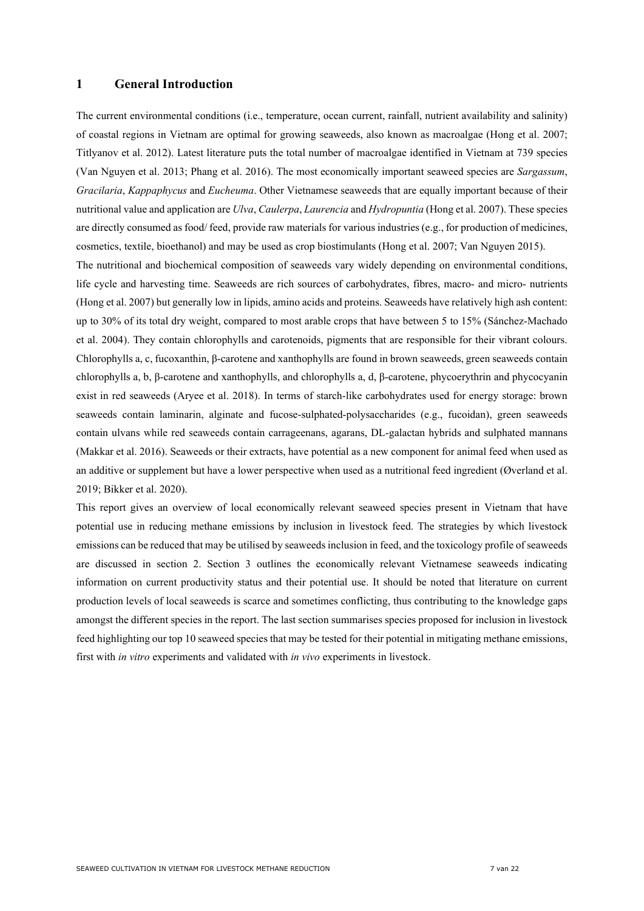## <span id="page-6-0"></span>**1 General Introduction**

The current environmental conditions (i.e., temperature, ocean current, rainfall, nutrient availability and salinity) of coastal regions in Vietnam are optimal for growing seaweeds, also known as macroalgae (Hong et al. 2007; Titlyanov et al. 2012). Latest literature puts the total number of macroalgae identified in Vietnam at 739 species (Van Nguyen et al. 2013; Phang et al. 2016). The most economically important seaweed species are *Sargassum*, *Gracilaria*, *Kappaphycus* and *Eucheuma*. Other Vietnamese seaweeds that are equally important because of their nutritional value and application are *Ulva*, *Caulerpa*, *Laurencia* and *Hydropuntia* (Hong et al. 2007). These species are directly consumed as food/ feed, provide raw materials for various industries (e.g., for production of medicines, cosmetics, textile, bioethanol) and may be used as crop biostimulants (Hong et al. 2007; Van Nguyen 2015).

The nutritional and biochemical composition of seaweeds vary widely depending on environmental conditions, life cycle and harvesting time. Seaweeds are rich sources of carbohydrates, fibres, macro- and micro- nutrients (Hong et al. 2007) but generally low in lipids, amino acids and proteins. Seaweeds have relatively high ash content: up to 30% of its total dry weight, compared to most arable crops that have between 5 to 15% (Sánchez-Machado et al. 2004). They contain chlorophylls and carotenoids, pigments that are responsible for their vibrant colours. Chlorophylls a, c, fucoxanthin, β-carotene and xanthophylls are found in brown seaweeds, green seaweeds contain chlorophylls a, b, β-carotene and xanthophylls, and chlorophylls a, d, β-carotene, phycoerythrin and phycocyanin exist in red seaweeds (Aryee et al. 2018). In terms of starch-like carbohydrates used for energy storage: brown seaweeds contain laminarin, alginate and fucose-sulphated-polysaccharides (e.g., fucoidan), green seaweeds contain ulvans while red seaweeds contain carrageenans, agarans, DL-galactan hybrids and sulphated mannans (Makkar et al. 2016). Seaweeds or their extracts, have potential as a new component for animal feed when used as an additive or supplement but have a lower perspective when used as a nutritional feed ingredient (Øverland et al. 2019; Bikker et al. 2020).

This report gives an overview of local economically relevant seaweed species present in Vietnam that have potential use in reducing methane emissions by inclusion in livestock feed. The strategies by which livestock emissions can be reduced that may be utilised by seaweeds inclusion in feed, and the toxicology profile of seaweeds are discussed in section 2. Section 3 outlines the economically relevant Vietnamese seaweeds indicating information on current productivity status and their potential use. It should be noted that literature on current production levels of local seaweeds is scarce and sometimes conflicting, thus contributing to the knowledge gaps amongst the different species in the report. The last section summarises species proposed for inclusion in livestock feed highlighting our top 10 seaweed species that may be tested for their potential in mitigating methane emissions, first with *in vitro* experiments and validated with *in vivo* experiments in livestock.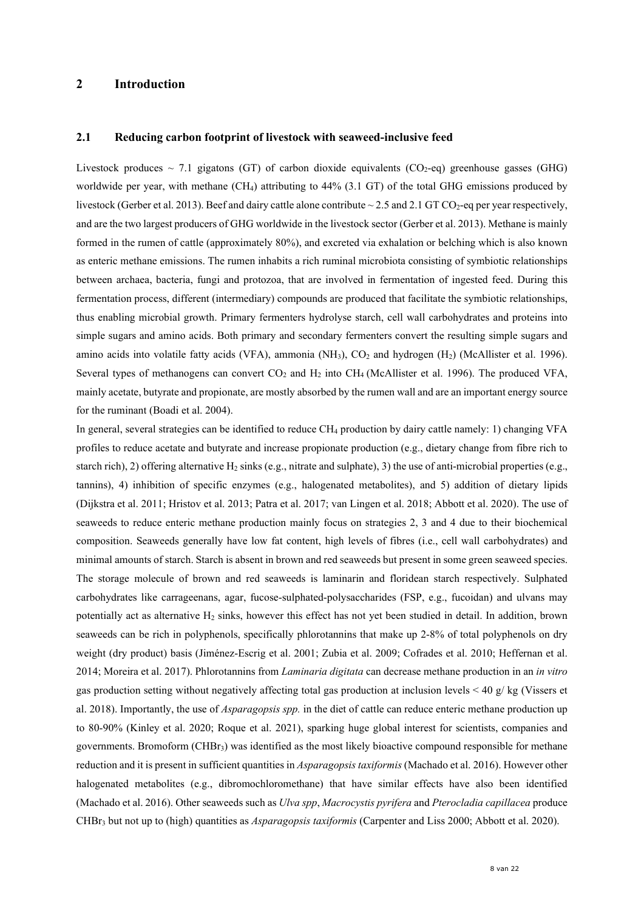# <span id="page-7-0"></span>**2 Introduction**

#### <span id="page-7-1"></span>**2.1 Reducing carbon footprint of livestock with seaweed-inclusive feed**

Livestock produces  $\sim$  7.1 gigatons (GT) of carbon dioxide equivalents (CO<sub>2</sub>-eq) greenhouse gasses (GHG) worldwide per year, with methane (CH4) attributing to 44% (3.1 GT) of the total GHG emissions produced by livestock (Gerber et al. 2013). Beef and dairy cattle alone contribute  $\sim$  2.5 and 2.1 GT CO<sub>2</sub>-eq per year respectively, and are the two largest producers of GHG worldwide in the livestock sector (Gerber et al. 2013). Methane is mainly formed in the rumen of cattle (approximately 80%), and excreted via exhalation or belching which is also known as enteric methane emissions. The rumen inhabits a rich ruminal microbiota consisting of symbiotic relationships between archaea, bacteria, fungi and protozoa, that are involved in fermentation of ingested feed. During this fermentation process, different (intermediary) compounds are produced that facilitate the symbiotic relationships, thus enabling microbial growth. Primary fermenters hydrolyse starch, cell wall carbohydrates and proteins into simple sugars and amino acids. Both primary and secondary fermenters convert the resulting simple sugars and amino acids into volatile fatty acids (VFA), ammonia (NH<sub>3</sub>),  $CO<sub>2</sub>$  and hydrogen (H<sub>2</sub>) (McAllister et al. 1996). Several types of methanogens can convert  $CO<sub>2</sub>$  and  $H<sub>2</sub>$  into CH<sub>4</sub> (McAllister et al. 1996). The produced VFA, mainly acetate, butyrate and propionate, are mostly absorbed by the rumen wall and are an important energy source for the ruminant (Boadi et al. 2004).

In general, several strategies can be identified to reduce CH<sub>4</sub> production by dairy cattle namely: 1) changing VFA profiles to reduce acetate and butyrate and increase propionate production (e.g., dietary change from fibre rich to starch rich), 2) offering alternative H<sub>2</sub> sinks (e.g., nitrate and sulphate), 3) the use of anti-microbial properties (e.g., tannins), 4) inhibition of specific enzymes (e.g., halogenated metabolites), and 5) addition of dietary lipids (Dijkstra et al. 2011; Hristov et al. 2013; Patra et al. 2017; van Lingen et al. 2018; Abbott et al. 2020). The use of seaweeds to reduce enteric methane production mainly focus on strategies 2, 3 and 4 due to their biochemical composition. Seaweeds generally have low fat content, high levels of fibres (i.e., cell wall carbohydrates) and minimal amounts of starch. Starch is absent in brown and red seaweeds but present in some green seaweed species. The storage molecule of brown and red seaweeds is laminarin and floridean starch respectively. Sulphated carbohydrates like carrageenans, agar, fucose-sulphated-polysaccharides (FSP, e.g., fucoidan) and ulvans may potentially act as alternative  $H_2$  sinks, however this effect has not yet been studied in detail. In addition, brown seaweeds can be rich in polyphenols, specifically phlorotannins that make up 2-8% of total polyphenols on dry weight (dry product) basis (Jiménez-Escrig et al. 2001; Zubia et al. 2009; Cofrades et al. 2010; Heffernan et al. 2014; Moreira et al. 2017). Phlorotannins from *Laminaria digitata* can decrease methane production in an *in vitro* gas production setting without negatively affecting total gas production at inclusion levels < 40 g/ kg (Vissers et al. 2018). Importantly, the use of *Asparagopsis spp.* in the diet of cattle can reduce enteric methane production up to 80-90% (Kinley et al. 2020; Roque et al. 2021), sparking huge global interest for scientists, companies and governments. Bromoform  $(CHBr<sub>3</sub>)$  was identified as the most likely bioactive compound responsible for methane reduction and it is present in sufficient quantities in *Asparagopsis taxiformis* (Machado et al. 2016). However other halogenated metabolites (e.g., dibromochloromethane) that have similar effects have also been identified (Machado et al. 2016). Other seaweeds such as *Ulva spp*, *Macrocystis pyrifera* and *Pterocladia capillacea* produce CHBr3 but not up to (high) quantities as *Asparagopsis taxiformis* (Carpenter and Liss 2000; Abbott et al. 2020).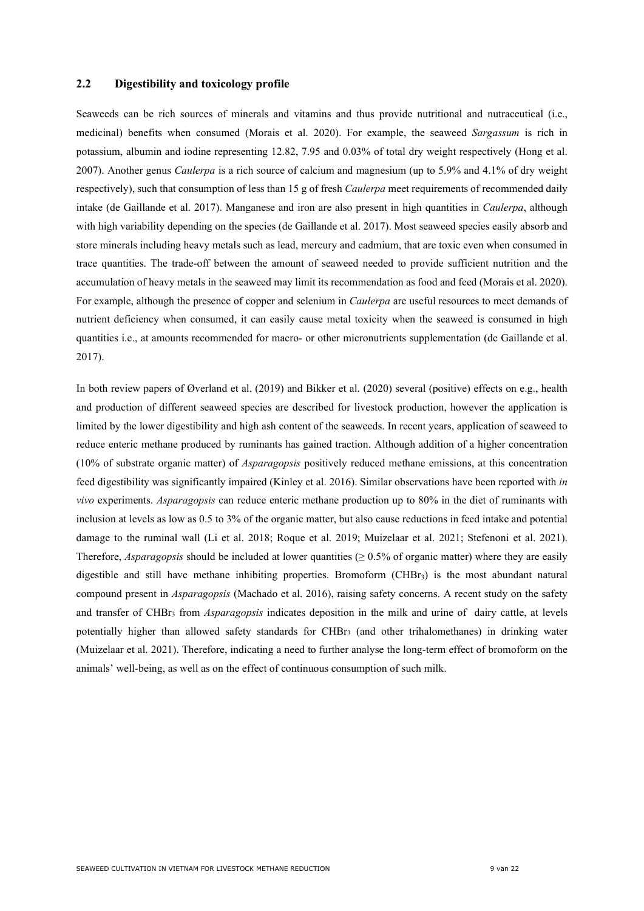## <span id="page-8-0"></span>**2.2 Digestibility and toxicology profile**

Seaweeds can be rich sources of minerals and vitamins and thus provide nutritional and nutraceutical (i.e., medicinal) benefits when consumed (Morais et al. 2020). For example, the seaweed *Sargassum* is rich in potassium, albumin and iodine representing 12.82, 7.95 and 0.03% of total dry weight respectively (Hong et al. 2007). Another genus *Caulerpa* is a rich source of calcium and magnesium (up to 5.9% and 4.1% of dry weight respectively), such that consumption of less than 15 g of fresh *Caulerpa* meet requirements of recommended daily intake (de Gaillande et al. 2017). Manganese and iron are also present in high quantities in *Caulerpa*, although with high variability depending on the species (de Gaillande et al. 2017). Most seaweed species easily absorb and store minerals including heavy metals such as lead, mercury and cadmium, that are toxic even when consumed in trace quantities. The trade-off between the amount of seaweed needed to provide sufficient nutrition and the accumulation of heavy metals in the seaweed may limit its recommendation as food and feed (Morais et al. 2020). For example, although the presence of copper and selenium in *Caulerpa* are useful resources to meet demands of nutrient deficiency when consumed, it can easily cause metal toxicity when the seaweed is consumed in high quantities i.e., at amounts recommended for macro- or other micronutrients supplementation (de Gaillande et al. 2017).

In both review papers of Øverland et al. (2019) and Bikker et al. (2020) several (positive) effects on e.g., health and production of different seaweed species are described for livestock production, however the application is limited by the lower digestibility and high ash content of the seaweeds. In recent years, application of seaweed to reduce enteric methane produced by ruminants has gained traction. Although addition of a higher concentration (10% of substrate organic matter) of *Asparagopsis* positively reduced methane emissions, at this concentration feed digestibility was significantly impaired (Kinley et al. 2016). Similar observations have been reported with *in vivo* experiments. *Asparagopsis* can reduce enteric methane production up to 80% in the diet of ruminants with inclusion at levels as low as 0.5 to 3% of the organic matter, but also cause reductions in feed intake and potential damage to the ruminal wall (Li et al. 2018; Roque et al. 2019; Muizelaar et al. 2021; Stefenoni et al. 2021). Therefore, *Asparagopsis* should be included at lower quantities ( $\geq 0.5\%$  of organic matter) where they are easily digestible and still have methane inhibiting properties. Bromoform (CHBr<sub>3</sub>) is the most abundant natural compound present in *Asparagopsis* (Machado et al. 2016), raising safety concerns. A recent study on the safety and transfer of CHBr3 from *Asparagopsis* indicates deposition in the milk and urine of dairy cattle, at levels potentially higher than allowed safety standards for CHBr3 (and other trihalomethanes) in drinking water (Muizelaar et al. 2021). Therefore, indicating a need to further analyse the long-term effect of bromoform on the animals' well-being, as well as on the effect of continuous consumption of such milk.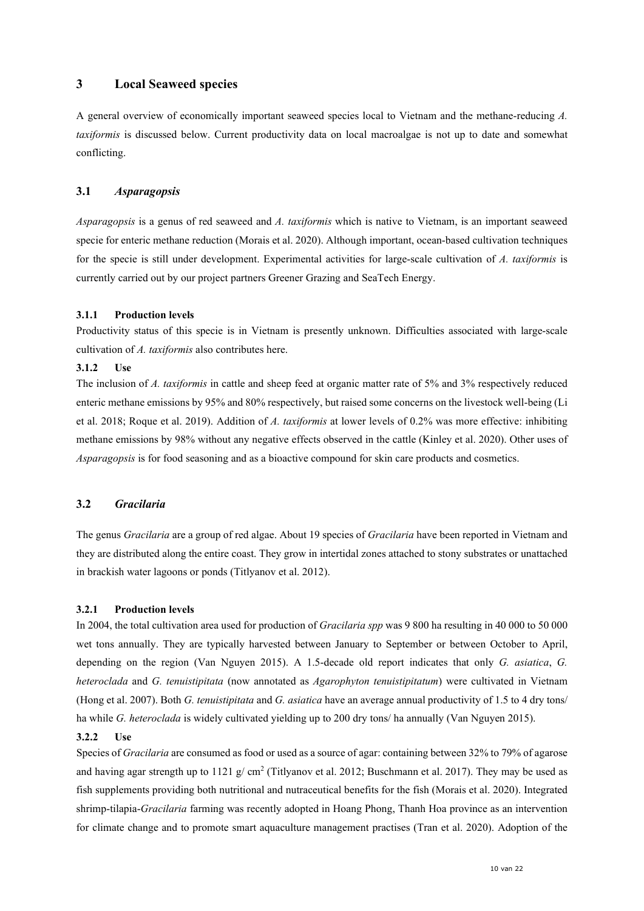## <span id="page-9-0"></span>**3 Local Seaweed species**

A general overview of economically important seaweed species local to Vietnam and the methane-reducing *A. taxiformis* is discussed below. Current productivity data on local macroalgae is not up to date and somewhat conflicting.

### <span id="page-9-1"></span>**3.1** *Asparagopsis*

*Asparagopsis* is a genus of red seaweed and *A. taxiformis* which is native to Vietnam, is an important seaweed specie for enteric methane reduction (Morais et al. 2020). Although important, ocean-based cultivation techniques for the specie is still under development. Experimental activities for large-scale cultivation of *A. taxiformis* is currently carried out by our project partners Greener Grazing and SeaTech Energy.

#### <span id="page-9-2"></span>**3.1.1 Production levels**

Productivity status of this specie is in Vietnam is presently unknown. Difficulties associated with large-scale cultivation of *A. taxiformis* also contributes here.

#### <span id="page-9-3"></span>**3.1.2 Use**

The inclusion of *A. taxiformis* in cattle and sheep feed at organic matter rate of 5% and 3% respectively reduced enteric methane emissions by 95% and 80% respectively, but raised some concerns on the livestock well-being (Li et al. 2018; Roque et al. 2019). Addition of *A. taxiformis* at lower levels of 0.2% was more effective: inhibiting methane emissions by 98% without any negative effects observed in the cattle (Kinley et al. 2020). Other uses of *Asparagopsis* is for food seasoning and as a bioactive compound for skin care products and cosmetics.

## <span id="page-9-4"></span>**3.2** *Gracilaria*

The genus *Gracilaria* are a group of red algae. About 19 species of *Gracilaria* have been reported in Vietnam and they are distributed along the entire coast. They grow in intertidal zones attached to stony substrates or unattached in brackish water lagoons or ponds (Titlyanov et al. 2012).

#### <span id="page-9-5"></span>**3.2.1 Production levels**

In 2004, the total cultivation area used for production of *Gracilaria spp* was 9 800 ha resulting in 40 000 to 50 000 wet tons annually. They are typically harvested between January to September or between October to April, depending on the region (Van Nguyen 2015). A 1.5-decade old report indicates that only *G. asiatica*, *G. heteroclada* and *G. tenuistipitata* (now annotated as *Agarophyton tenuistipitatum*) were cultivated in Vietnam (Hong et al. 2007). Both *G. tenuistipitata* and *G. asiatica* have an average annual productivity of 1.5 to 4 dry tons/ ha while *G. heteroclada* is widely cultivated yielding up to 200 dry tons/ ha annually (Van Nguyen 2015).

#### <span id="page-9-6"></span>**3.2.2 Use**

Species of *Gracilaria* are consumed as food or used as a source of agar: containing between 32% to 79% of agarose and having agar strength up to 1121 g/ cm<sup>2</sup> (Titlyanov et al. 2012; Buschmann et al. 2017). They may be used as fish supplements providing both nutritional and nutraceutical benefits for the fish (Morais et al. 2020). Integrated shrimp-tilapia-*Gracilaria* farming was recently adopted in Hoang Phong, Thanh Hoa province as an intervention for climate change and to promote smart aquaculture management practises (Tran et al. 2020). Adoption of the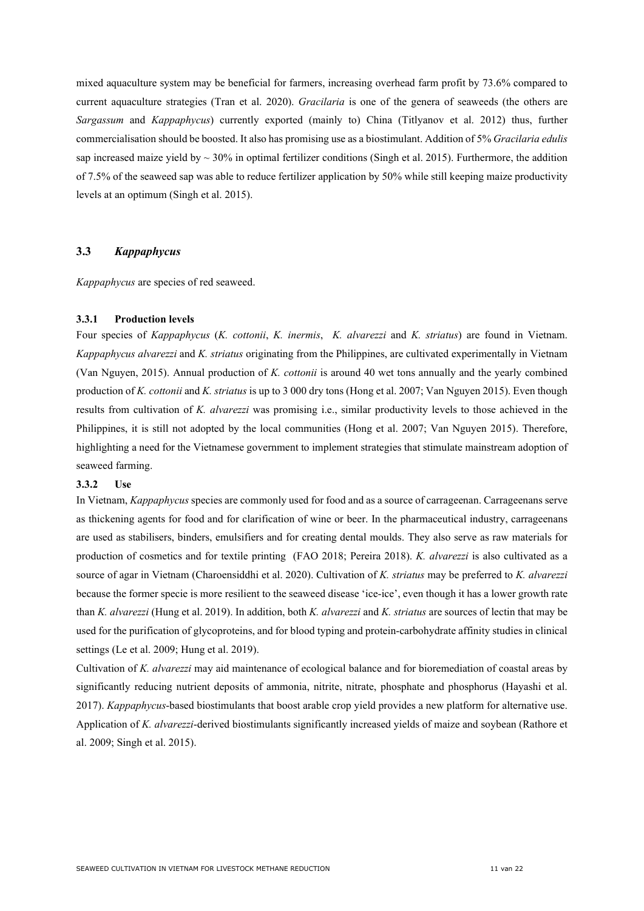mixed aquaculture system may be beneficial for farmers, increasing overhead farm profit by 73.6% compared to current aquaculture strategies (Tran et al. 2020). *Gracilaria* is one of the genera of seaweeds (the others are *Sargassum* and *Kappaphycus*) currently exported (mainly to) China (Titlyanov et al. 2012) thus, further commercialisation should be boosted. It also has promising use as a biostimulant. Addition of 5% *Gracilaria edulis* sap increased maize yield by  $\sim 30\%$  in optimal fertilizer conditions (Singh et al. 2015). Furthermore, the addition of 7.5% of the seaweed sap was able to reduce fertilizer application by 50% while still keeping maize productivity levels at an optimum (Singh et al. 2015).

#### <span id="page-10-0"></span>**3.3** *Kappaphycus*

*Kappaphycus* are species of red seaweed.

#### <span id="page-10-1"></span>**3.3.1 Production levels**

Four species of *Kappaphycus* (*K. cottonii*, *K. inermis*, *K. alvarezzi* and *K. striatus*) are found in Vietnam. *Kappaphycus alvarezzi* and *K. striatus* originating from the Philippines, are cultivated experimentally in Vietnam (Van Nguyen, 2015). Annual production of *K. cottonii* is around 40 wet tons annually and the yearly combined production of *K. cottonii* and *K. striatus* is up to 3 000 dry tons (Hong et al. 2007; Van Nguyen 2015). Even though results from cultivation of *K. alvarezzi* was promising i.e., similar productivity levels to those achieved in the Philippines, it is still not adopted by the local communities (Hong et al. 2007; Van Nguyen 2015). Therefore, highlighting a need for the Vietnamese government to implement strategies that stimulate mainstream adoption of seaweed farming.

#### <span id="page-10-2"></span>**3.3.2 Use**

In Vietnam, *Kappaphycus* species are commonly used for food and as a source of carrageenan. Carrageenans serve as thickening agents for food and for clarification of wine or beer. In the pharmaceutical industry, carrageenans are used as stabilisers, binders, emulsifiers and for creating dental moulds. They also serve as raw materials for production of cosmetics and for textile printing (FAO 2018; Pereira 2018). *K. alvarezzi* is also cultivated as a source of agar in Vietnam (Charoensiddhi et al. 2020). Cultivation of *K. striatus* may be preferred to *K. alvarezzi* because the former specie is more resilient to the seaweed disease 'ice-ice', even though it has a lower growth rate than *K. alvarezzi* (Hung et al. 2019). In addition, both *K. alvarezzi* and *K. striatus* are sources of lectin that may be used for the purification of glycoproteins, and for blood typing and protein-carbohydrate affinity studies in clinical settings (Le et al. 2009; Hung et al. 2019).

Cultivation of *K. alvarezzi* may aid maintenance of ecological balance and for bioremediation of coastal areas by significantly reducing nutrient deposits of ammonia, nitrite, nitrate, phosphate and phosphorus (Hayashi et al. 2017). *Kappaphycus*-based biostimulants that boost arable crop yield provides a new platform for alternative use. Application of *K. alvarezzi*-derived biostimulants significantly increased yields of maize and soybean (Rathore et al. 2009; Singh et al. 2015).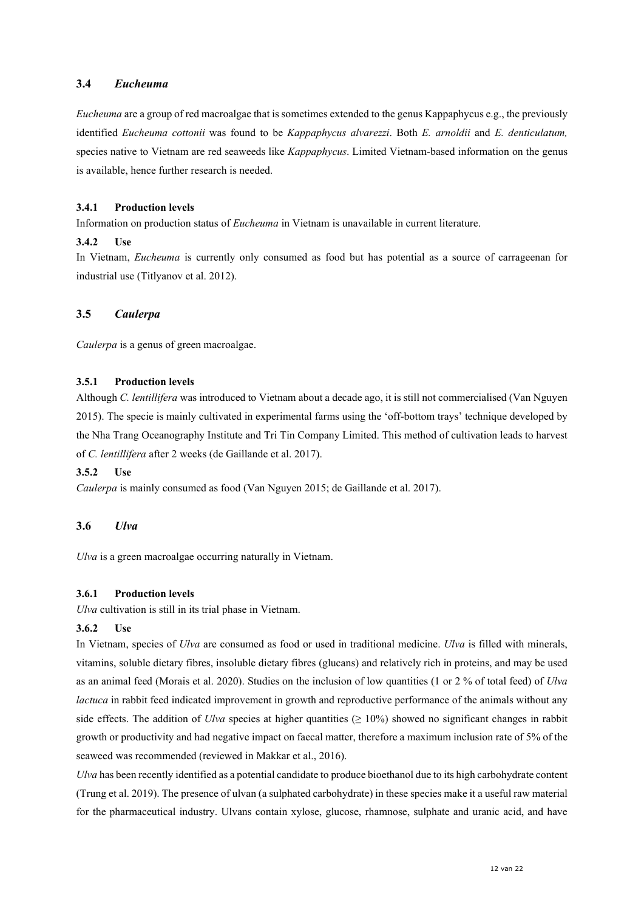## <span id="page-11-0"></span>**3.4** *Eucheuma*

*Eucheuma* are a group of red macroalgae that is sometimes extended to the genus Kappaphycus e.g., the previously identified *Eucheuma cottonii* was found to be *Kappaphycus alvarezzi*. Both *E. arnoldii* and *E. denticulatum,*  species native to Vietnam are red seaweeds like *Kappaphycus*. Limited Vietnam-based information on the genus is available, hence further research is needed.

## <span id="page-11-1"></span>**3.4.1 Production levels**

Information on production status of *Eucheuma* in Vietnam is unavailable in current literature.

## <span id="page-11-2"></span>**3.4.2 Use**

In Vietnam, *Eucheuma* is currently only consumed as food but has potential as a source of carrageenan for industrial use (Titlyanov et al. 2012).

## <span id="page-11-3"></span>**3.5** *Caulerpa*

*Caulerpa* is a genus of green macroalgae.

#### <span id="page-11-4"></span>**3.5.1 Production levels**

Although *C. lentillifera* was introduced to Vietnam about a decade ago, it is still not commercialised (Van Nguyen 2015). The specie is mainly cultivated in experimental farms using the 'off-bottom trays' technique developed by the Nha Trang Oceanography Institute and Tri Tin Company Limited. This method of cultivation leads to harvest of *C. lentillifera* after 2 weeks (de Gaillande et al. 2017).

### <span id="page-11-5"></span>**3.5.2 Use**

*Caulerpa* is mainly consumed as food (Van Nguyen 2015; de Gaillande et al. 2017).

## <span id="page-11-6"></span>**3.6** *Ulva*

*Ulva* is a green macroalgae occurring naturally in Vietnam.

#### <span id="page-11-7"></span>**3.6.1 Production levels**

*Ulva* cultivation is still in its trial phase in Vietnam.

#### <span id="page-11-8"></span>**3.6.2 Use**

In Vietnam, species of *Ulva* are consumed as food or used in traditional medicine. *Ulva* is filled with minerals, vitamins, soluble dietary fibres, insoluble dietary fibres (glucans) and relatively rich in proteins, and may be used as an animal feed (Morais et al. 2020). Studies on the inclusion of low quantities (1 or 2 % of total feed) of *Ulva lactuca* in rabbit feed indicated improvement in growth and reproductive performance of the animals without any side effects. The addition of *Ulva* species at higher quantities ( $\geq 10\%$ ) showed no significant changes in rabbit growth or productivity and had negative impact on faecal matter, therefore a maximum inclusion rate of 5% of the seaweed was recommended (reviewed in Makkar et al., 2016).

*Ulva* has been recently identified as a potential candidate to produce bioethanol due to its high carbohydrate content (Trung et al. 2019). The presence of ulvan (a sulphated carbohydrate) in these species make it a useful raw material for the pharmaceutical industry. Ulvans contain xylose, glucose, rhamnose, sulphate and uranic acid, and have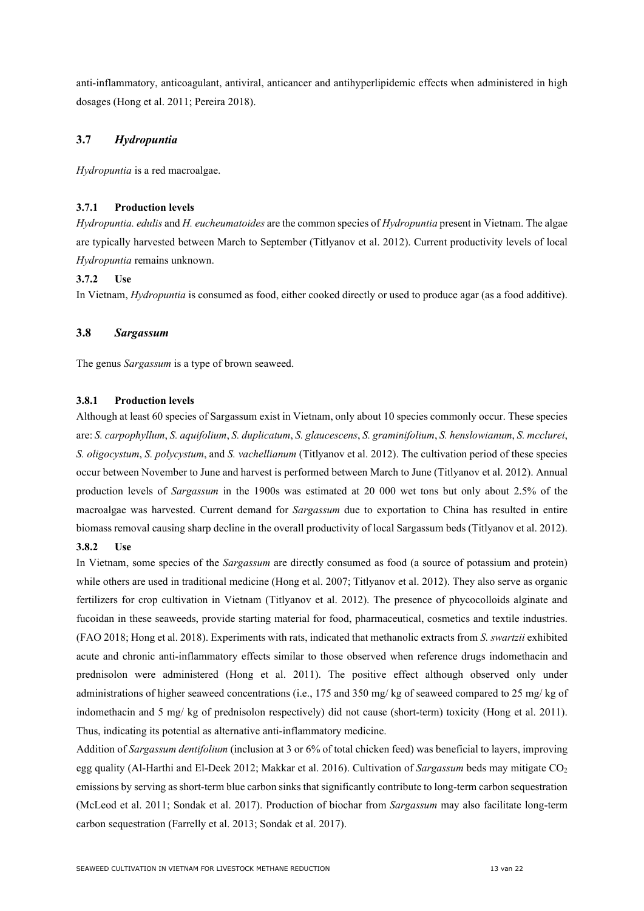anti-inflammatory, anticoagulant, antiviral, anticancer and antihyperlipidemic effects when administered in high dosages (Hong et al. 2011; Pereira 2018).

## <span id="page-12-0"></span>**3.7** *Hydropuntia*

*Hydropuntia* is a red macroalgae.

## <span id="page-12-1"></span>**3.7.1 Production levels**

*Hydropuntia. edulis* and *H. eucheumatoides* are the common species of *Hydropuntia* present in Vietnam. The algae are typically harvested between March to September (Titlyanov et al. 2012). Current productivity levels of local *Hydropuntia* remains unknown.

#### <span id="page-12-2"></span>**3.7.2 Use**

In Vietnam, *Hydropuntia* is consumed as food, either cooked directly or used to produce agar (as a food additive).

#### <span id="page-12-3"></span>**3.8** *Sargassum*

The genus *Sargassum* is a type of brown seaweed.

#### <span id="page-12-4"></span>**3.8.1 Production levels**

Although at least 60 species of Sargassum exist in Vietnam, only about 10 species commonly occur. These species are: *S. carpophyllum*, *S. aquifolium*, *S. duplicatum*, *S. glaucescens*, *S. graminifolium*, *S. henslowianum*, *S. mcclurei*, *S. oligocystum*, *S. polycystum*, and *S. vachellianum* (Titlyanov et al. 2012). The cultivation period of these species occur between November to June and harvest is performed between March to June (Titlyanov et al. 2012). Annual production levels of *Sargassum* in the 1900s was estimated at 20 000 wet tons but only about 2.5% of the macroalgae was harvested. Current demand for *Sargassum* due to exportation to China has resulted in entire biomass removal causing sharp decline in the overall productivity of local Sargassum beds (Titlyanov et al. 2012). **3.8.2 Use**

<span id="page-12-5"></span>In Vietnam, some species of the *Sargassum* are directly consumed as food (a source of potassium and protein) while others are used in traditional medicine (Hong et al. 2007; Titlyanov et al. 2012). They also serve as organic fertilizers for crop cultivation in Vietnam (Titlyanov et al. 2012). The presence of phycocolloids alginate and fucoidan in these seaweeds, provide starting material for food, pharmaceutical, cosmetics and textile industries. (FAO 2018; Hong et al. 2018). Experiments with rats, indicated that methanolic extracts from *S. swartzii* exhibited acute and chronic anti-inflammatory effects similar to those observed when reference drugs indomethacin and prednisolon were administered (Hong et al. 2011). The positive effect although observed only under administrations of higher seaweed concentrations (i.e., 175 and 350 mg/ kg of seaweed compared to 25 mg/ kg of indomethacin and 5 mg/ kg of prednisolon respectively) did not cause (short-term) toxicity (Hong et al. 2011). Thus, indicating its potential as alternative anti-inflammatory medicine.

Addition of *Sargassum dentifolium* (inclusion at 3 or 6% of total chicken feed) was beneficial to layers, improving egg quality (Al-Harthi and El-Deek 2012; Makkar et al. 2016). Cultivation of *Sargassum* beds may mitigate CO<sub>2</sub> emissions by serving as short-term blue carbon sinks that significantly contribute to long-term carbon sequestration (McLeod et al. 2011; Sondak et al. 2017). Production of biochar from *Sargassum* may also facilitate long-term carbon sequestration (Farrelly et al. 2013; Sondak et al. 2017).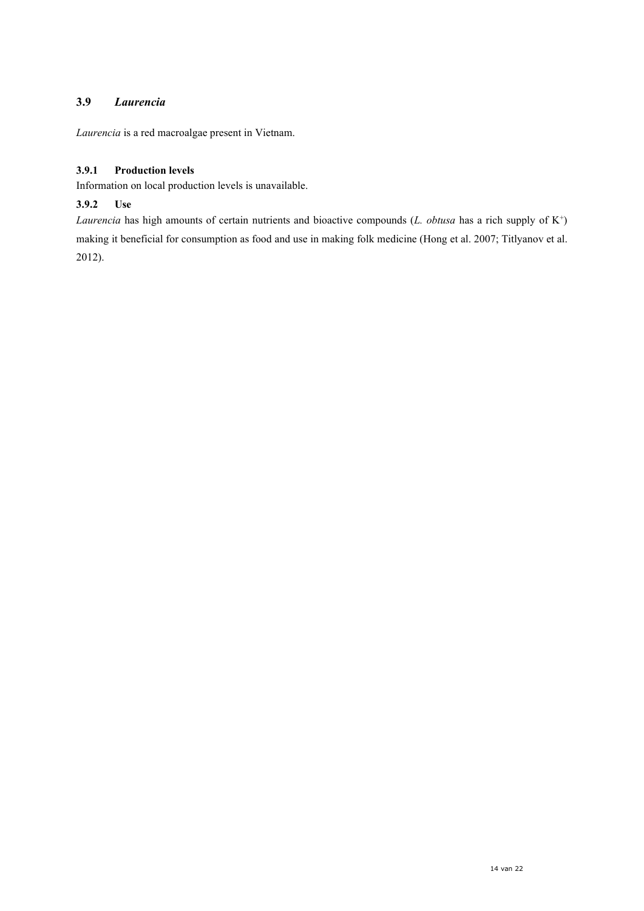# <span id="page-13-0"></span>**3.9** *Laurencia*

*Laurencia* is a red macroalgae present in Vietnam.

## <span id="page-13-1"></span>**3.9.1 Production levels**

Information on local production levels is unavailable.

## <span id="page-13-2"></span>**3.9.2 Use**

*Laurencia* has high amounts of certain nutrients and bioactive compounds (*L. obtusa* has a rich supply of K<sup>+</sup>) making it beneficial for consumption as food and use in making folk medicine (Hong et al. 2007; Titlyanov et al. 2012).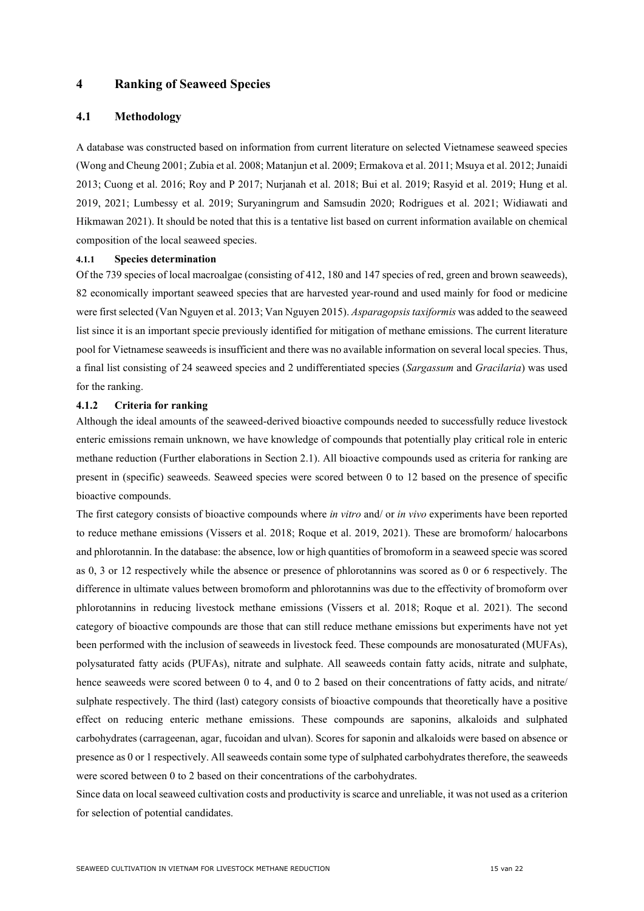## <span id="page-14-0"></span>**4 Ranking of Seaweed Species**

## <span id="page-14-1"></span>**4.1 Methodology**

A database was constructed based on information from current literature on selected Vietnamese seaweed species (Wong and Cheung 2001; Zubia et al. 2008; Matanjun et al. 2009; Ermakova et al. 2011; Msuya et al. 2012; Junaidi 2013; Cuong et al. 2016; Roy and P 2017; Nurjanah et al. 2018; Bui et al. 2019; Rasyid et al. 2019; Hung et al. 2019, 2021; Lumbessy et al. 2019; Suryaningrum and Samsudin 2020; Rodrigues et al. 2021; Widiawati and Hikmawan 2021). It should be noted that this is a tentative list based on current information available on chemical composition of the local seaweed species.

#### <span id="page-14-2"></span>**4.1.1 Species determination**

Of the 739 species of local macroalgae (consisting of 412, 180 and 147 species of red, green and brown seaweeds), 82 economically important seaweed species that are harvested year-round and used mainly for food or medicine were first selected (Van Nguyen et al. 2013; Van Nguyen 2015). *Asparagopsis taxiformis* was added to the seaweed list since it is an important specie previously identified for mitigation of methane emissions. The current literature pool for Vietnamese seaweeds is insufficient and there was no available information on several local species. Thus, a final list consisting of 24 seaweed species and 2 undifferentiated species (*Sargassum* and *Gracilaria*) was used for the ranking.

#### <span id="page-14-3"></span>**4.1.2 Criteria for ranking**

Although the ideal amounts of the seaweed-derived bioactive compounds needed to successfully reduce livestock enteric emissions remain unknown, we have knowledge of compounds that potentially play critical role in enteric methane reduction (Further elaborations in Section 2.1). All bioactive compounds used as criteria for ranking are present in (specific) seaweeds. Seaweed species were scored between 0 to 12 based on the presence of specific bioactive compounds.

The first category consists of bioactive compounds where *in vitro* and/ or *in vivo* experiments have been reported to reduce methane emissions (Vissers et al. 2018; Roque et al. 2019, 2021). These are bromoform/ halocarbons and phlorotannin. In the database: the absence, low or high quantities of bromoform in a seaweed specie was scored as 0, 3 or 12 respectively while the absence or presence of phlorotannins was scored as 0 or 6 respectively. The difference in ultimate values between bromoform and phlorotannins was due to the effectivity of bromoform over phlorotannins in reducing livestock methane emissions (Vissers et al. 2018; Roque et al. 2021). The second category of bioactive compounds are those that can still reduce methane emissions but experiments have not yet been performed with the inclusion of seaweeds in livestock feed. These compounds are monosaturated (MUFAs), polysaturated fatty acids (PUFAs), nitrate and sulphate. All seaweeds contain fatty acids, nitrate and sulphate, hence seaweeds were scored between 0 to 4, and 0 to 2 based on their concentrations of fatty acids, and nitrate/ sulphate respectively. The third (last) category consists of bioactive compounds that theoretically have a positive effect on reducing enteric methane emissions. These compounds are saponins, alkaloids and sulphated carbohydrates (carrageenan, agar, fucoidan and ulvan). Scores for saponin and alkaloids were based on absence or presence as 0 or 1 respectively. All seaweeds contain some type of sulphated carbohydrates therefore, the seaweeds were scored between 0 to 2 based on their concentrations of the carbohydrates.

Since data on local seaweed cultivation costs and productivity is scarce and unreliable, it was not used as a criterion for selection of potential candidates.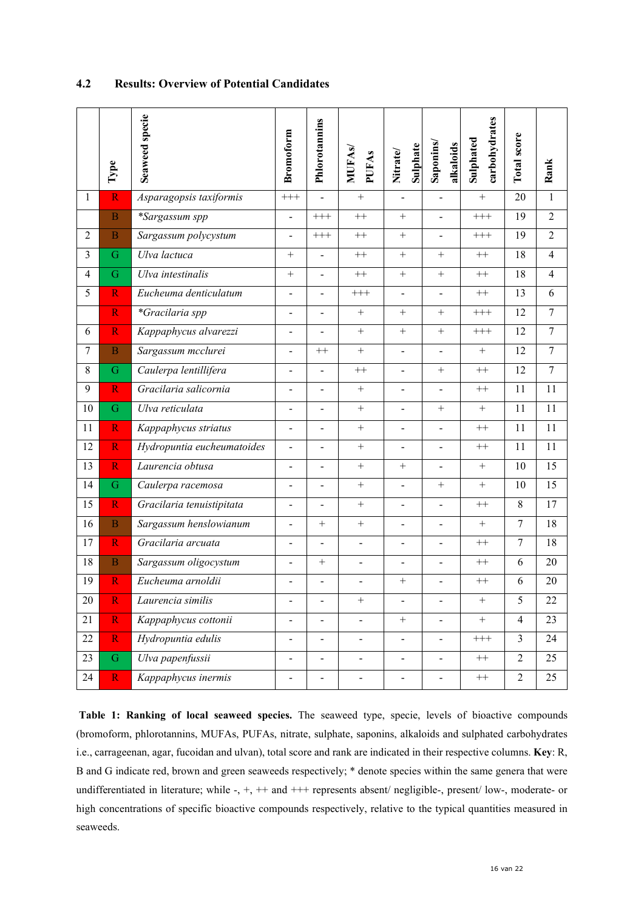|                | Type                    | Seaweed specie             | <b>Bromoform</b>             | Phlorotannins            | <b>MUFAs/</b><br><b>PUFAs</b> | <b>Sulphate</b><br>Nitrate/ | Saponins/<br>alkaloids   | carbohydrates<br>Sulphated | Total score    | Rank           |
|----------------|-------------------------|----------------------------|------------------------------|--------------------------|-------------------------------|-----------------------------|--------------------------|----------------------------|----------------|----------------|
| $\mathbf{1}$   | $\overline{\text{R}}$   | Asparagopsis taxiformis    | $+++$                        |                          | $\qquad \qquad +$             |                             |                          | $+$                        | 20             | $\mathbf{1}$   |
|                | $\overline{B}$          | *Sargassum spp             | $\blacksquare$               | $+++$                    | $++$                          | $^{+}$                      | $\overline{a}$           | $++++$                     | 19             | $\overline{2}$ |
| $\overline{2}$ | $\overline{B}$          | Sargassum polycystum       |                              | $^{+++}$                 | $++$                          | $^{+}$                      | $\overline{a}$           | $^{+++}$                   | 19             | $\overline{2}$ |
| $\overline{3}$ | G                       | Ulva lactuca               | $+$                          | $\overline{a}$           | $++$                          | $+$                         | $+$                      | $++$                       | 18             | $\overline{4}$ |
| $\overline{4}$ | G                       | Ulva intestinalis          | $+$                          | $\overline{a}$           | $++$                          | $\ddot{}$                   | $+$                      | $^{++}\,$                  | 18             | $\overline{4}$ |
| 5              | $\overline{\mathbf{R}}$ | Eucheuma denticulatum      | $\blacksquare$               | $\overline{a}$           | $++$                          | $\blacksquare$              | $\blacksquare$           | $^{++}\,$                  | 13             | 6              |
|                | $\overline{\mathbf{R}}$ | *Gracilaria spp            | $\blacksquare$               | $\overline{a}$           | $+$                           | $^{+}$                      | $+$                      | $\!++\!+$                  | 12             | $\tau$         |
| 6              | $\overline{\text{R}}$   | Kappaphycus alvarezzi      | $\blacksquare$               | $\overline{a}$           | $^{+}$                        | $\boldsymbol{+}$            | $+$                      | $++++$                     | 12             | $\overline{7}$ |
| $\overline{7}$ | $\overline{B}$          | Sargassum mcclurei         | $\overline{a}$               | $++$                     | $+$                           | $\overline{a}$              | $\overline{a}$           | $+$                        | 12             | $\overline{7}$ |
| 8              | G                       | Caulerpa lentillifera      | $\overline{\phantom{a}}$     | $\overline{a}$           | $++$                          | $\blacksquare$              | $^{+}$                   | $++$                       | 12             | $\overline{7}$ |
| 9              | $\mathbf R$             | Gracilaria salicornia      | $\blacksquare$               | $\overline{a}$           | $^{+}$                        | $\blacksquare$              | $\frac{1}{2}$            | $^{++}\,$                  | 11             | 11             |
| 10             | G                       | Ulva reticulata            | $\blacksquare$               | $\overline{a}$           | $+$                           | $\overline{\phantom{0}}$    | $+$                      | $+$                        | 11             | 11             |
| 11             | $\overline{\mathbf{R}}$ | Kappaphycus striatus       | $\blacksquare$               | $\overline{a}$           | $\boldsymbol{+}$              | $\overline{\phantom{a}}$    | $\blacksquare$           | $^{++}\,$                  | 11             | 11             |
| 12             | $\overline{\mathsf{R}}$ | Hydropuntia eucheumatoides | $\overline{\phantom{a}}$     | $\overline{a}$           | $+$                           | $\blacksquare$              | $\overline{a}$           | $++$                       | 11             | 11             |
| 13             | $\overline{\mathsf{R}}$ | Laurencia obtusa           | $\overline{a}$               | $\overline{a}$           | $^{+}$                        | $+$                         | $\overline{a}$           | $+$                        | 10             | 15             |
| 14             | G                       | Caulerpa racemosa          | $\qquad \qquad \blacksquare$ | $\overline{a}$           | $+$                           | $\frac{1}{2}$               | $^{+}$                   | $+$                        | 10             | 15             |
| 15             | $\overline{\mathbf{R}}$ | Gracilaria tenuistipitata  | $\qquad \qquad \blacksquare$ | $\overline{\phantom{0}}$ | $+$                           | $\overline{\phantom{0}}$    | $\overline{a}$           | $++$                       | 8              | 17             |
| 16             | $\overline{B}$          | Sargassum henslowianum     | $\overline{\phantom{a}}$     | $^{+}$                   | $+$                           | $\overline{\phantom{a}}$    | $\overline{a}$           | $^{+}$                     | $\overline{7}$ | 18             |
| 17             | $\overline{\mathbf{R}}$ | Gracilaria arcuata         | $\blacksquare$               | $\overline{a}$           | $\overline{\phantom{a}}$      | $\overline{a}$              | $\overline{a}$           | $++$                       | $\overline{7}$ | 18             |
| 18             | $\overline{B}$          | Sargassum oligocystum      | $\overline{\phantom{0}}$     | $^{+}$                   | $\blacksquare$                | $\overline{a}$              | ÷,                       | $++$                       | 6              | 20             |
| 19             | $\overline{\mathbf{R}}$ | Eucheuma arnoldii          |                              |                          |                               | $^{+}$                      |                          | $++$                       | 6              | 20             |
| 20             | $\overline{\text{R}}$   | Laurencia similis          | $\overline{a}$               | $\overline{\phantom{0}}$ | $+$                           | $\overline{a}$              | $\overline{a}$           | $\boldsymbol{+}$           | 5              | 22             |
| 21             | $\mathbf R$             | Kappaphycus cottonii       | $\overline{\phantom{a}}$     | $\qquad \qquad -$        | $\overline{\phantom{a}}$      | $\qquad \qquad +$           | $\overline{a}$           | $^{+}$                     | $\overline{4}$ | 23             |
| 22             | $\overline{\mathbf{R}}$ | Hydropuntia edulis         | $\blacksquare$               | $\blacksquare$           | $\blacksquare$                | $\overline{\phantom{0}}$    | $\overline{a}$           | $^{+++}$                   | $\mathfrak{Z}$ | 24             |
| 23             | G                       | Ulva papenfussii           |                              | $\blacksquare$           | $\overline{\phantom{a}}$      | $\overline{\phantom{a}}$    | $\overline{\phantom{0}}$ | $^{++}\,$                  | $\overline{2}$ | 25             |
| 24             | $\mathbf R$             | Kappaphycus inermis        |                              |                          |                               | -                           |                          | $^{++}\,$                  | $\overline{2}$ | 25             |

# <span id="page-15-0"></span>**4.2 Results: Overview of Potential Candidates**

**Table 1: Ranking of local seaweed species.** The seaweed type, specie, levels of bioactive compounds (bromoform, phlorotannins, MUFAs, PUFAs, nitrate, sulphate, saponins, alkaloids and sulphated carbohydrates i.e., carrageenan, agar, fucoidan and ulvan), total score and rank are indicated in their respective columns. **Key**: R, B and G indicate red, brown and green seaweeds respectively; \* denote species within the same genera that were undifferentiated in literature; while -, +, ++ and +++ represents absent/ negligible-, present/ low-, moderate- or high concentrations of specific bioactive compounds respectively, relative to the typical quantities measured in seaweeds.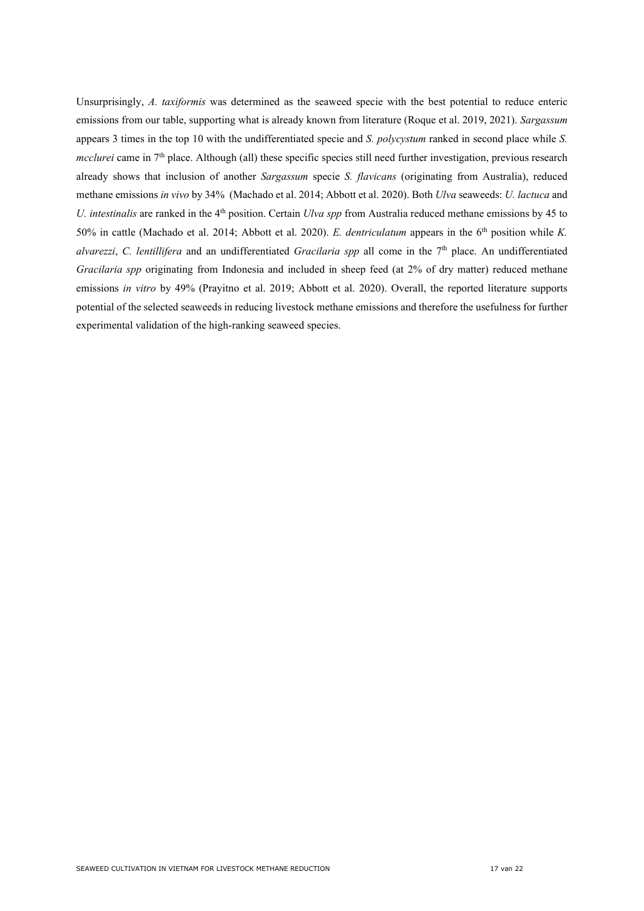Unsurprisingly, *A. taxiformis* was determined as the seaweed specie with the best potential to reduce enteric emissions from our table, supporting what is already known from literature (Roque et al. 2019, 2021). *Sargassum* appears 3 times in the top 10 with the undifferentiated specie and *S. polycystum* ranked in second place while *S. mcclurei* came in 7<sup>th</sup> place. Although (all) these specific species still need further investigation, previous research already shows that inclusion of another *Sargassum* specie *S. flavicans* (originating from Australia), reduced methane emissions *in vivo* by 34% (Machado et al. 2014; Abbott et al. 2020). Both *Ulva* seaweeds: *U. lactuca* and *U. intestinalis* are ranked in the 4<sup>th</sup> position. Certain *Ulva spp* from Australia reduced methane emissions by 45 to 50% in cattle (Machado et al. 2014; Abbott et al. 2020). *E. dentriculatum* appears in the 6<sup>th</sup> position while *K*. *alvarezzi*, *C. lentillifera* and an undifferentiated *Gracilaria spp* all come in the 7th place. An undifferentiated *Gracilaria spp* originating from Indonesia and included in sheep feed (at 2% of dry matter) reduced methane emissions *in vitro* by 49% (Prayitno et al. 2019; Abbott et al. 2020). Overall, the reported literature supports potential of the selected seaweeds in reducing livestock methane emissions and therefore the usefulness for further experimental validation of the high-ranking seaweed species.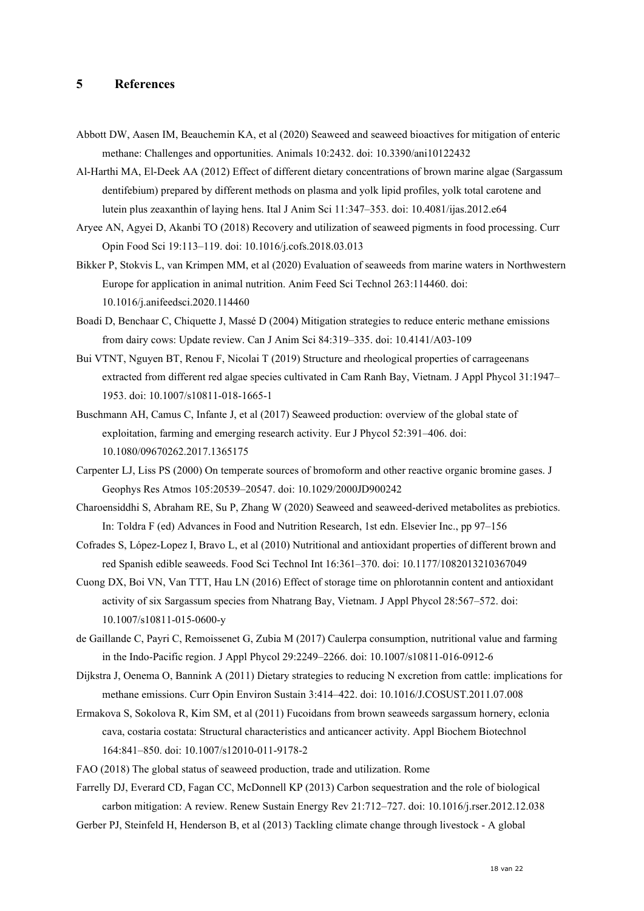# <span id="page-17-0"></span>**5 References**

- Abbott DW, Aasen IM, Beauchemin KA, et al (2020) Seaweed and seaweed bioactives for mitigation of enteric methane: Challenges and opportunities. Animals 10:2432. doi: 10.3390/ani10122432
- Al-Harthi MA, El-Deek AA (2012) Effect of different dietary concentrations of brown marine algae (Sargassum dentifebium) prepared by different methods on plasma and yolk lipid profiles, yolk total carotene and lutein plus zeaxanthin of laying hens. Ital J Anim Sci 11:347–353. doi: 10.4081/ijas.2012.e64
- Aryee AN, Agyei D, Akanbi TO (2018) Recovery and utilization of seaweed pigments in food processing. Curr Opin Food Sci 19:113–119. doi: 10.1016/j.cofs.2018.03.013
- Bikker P, Stokvis L, van Krimpen MM, et al (2020) Evaluation of seaweeds from marine waters in Northwestern Europe for application in animal nutrition. Anim Feed Sci Technol 263:114460. doi: 10.1016/j.anifeedsci.2020.114460
- Boadi D, Benchaar C, Chiquette J, Massé D (2004) Mitigation strategies to reduce enteric methane emissions from dairy cows: Update review. Can J Anim Sci 84:319–335. doi: 10.4141/A03-109
- Bui VTNT, Nguyen BT, Renou F, Nicolai T (2019) Structure and rheological properties of carrageenans extracted from different red algae species cultivated in Cam Ranh Bay, Vietnam. J Appl Phycol 31:1947– 1953. doi: 10.1007/s10811-018-1665-1
- Buschmann AH, Camus C, Infante J, et al (2017) Seaweed production: overview of the global state of exploitation, farming and emerging research activity. Eur J Phycol 52:391–406. doi: 10.1080/09670262.2017.1365175
- Carpenter LJ, Liss PS (2000) On temperate sources of bromoform and other reactive organic bromine gases. J Geophys Res Atmos 105:20539–20547. doi: 10.1029/2000JD900242
- Charoensiddhi S, Abraham RE, Su P, Zhang W (2020) Seaweed and seaweed-derived metabolites as prebiotics. In: Toldra F (ed) Advances in Food and Nutrition Research, 1st edn. Elsevier Inc., pp 97–156
- Cofrades S, López-Lopez I, Bravo L, et al (2010) Nutritional and antioxidant properties of different brown and red Spanish edible seaweeds. Food Sci Technol Int 16:361–370. doi: 10.1177/1082013210367049
- Cuong DX, Boi VN, Van TTT, Hau LN (2016) Effect of storage time on phlorotannin content and antioxidant activity of six Sargassum species from Nhatrang Bay, Vietnam. J Appl Phycol 28:567–572. doi: 10.1007/s10811-015-0600-y
- de Gaillande C, Payri C, Remoissenet G, Zubia M (2017) Caulerpa consumption, nutritional value and farming in the Indo-Pacific region. J Appl Phycol 29:2249–2266. doi: 10.1007/s10811-016-0912-6
- Dijkstra J, Oenema O, Bannink A (2011) Dietary strategies to reducing N excretion from cattle: implications for methane emissions. Curr Opin Environ Sustain 3:414–422. doi: 10.1016/J.COSUST.2011.07.008
- Ermakova S, Sokolova R, Kim SM, et al (2011) Fucoidans from brown seaweeds sargassum hornery, eclonia cava, costaria costata: Structural characteristics and anticancer activity. Appl Biochem Biotechnol 164:841–850. doi: 10.1007/s12010-011-9178-2
- FAO (2018) The global status of seaweed production, trade and utilization. Rome

Farrelly DJ, Everard CD, Fagan CC, McDonnell KP (2013) Carbon sequestration and the role of biological carbon mitigation: A review. Renew Sustain Energy Rev 21:712–727. doi: 10.1016/j.rser.2012.12.038

Gerber PJ, Steinfeld H, Henderson B, et al (2013) Tackling climate change through livestock - A global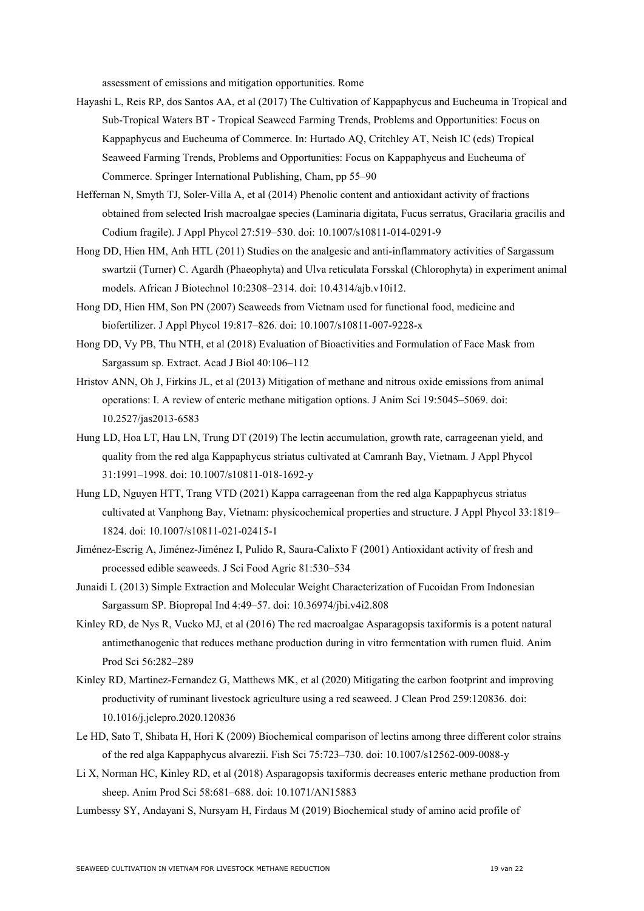assessment of emissions and mitigation opportunities. Rome

- Hayashi L, Reis RP, dos Santos AA, et al (2017) The Cultivation of Kappaphycus and Eucheuma in Tropical and Sub-Tropical Waters BT - Tropical Seaweed Farming Trends, Problems and Opportunities: Focus on Kappaphycus and Eucheuma of Commerce. In: Hurtado AQ, Critchley AT, Neish IC (eds) Tropical Seaweed Farming Trends, Problems and Opportunities: Focus on Kappaphycus and Eucheuma of Commerce. Springer International Publishing, Cham, pp 55–90
- Heffernan N, Smyth TJ, Soler-Villa A, et al (2014) Phenolic content and antioxidant activity of fractions obtained from selected Irish macroalgae species (Laminaria digitata, Fucus serratus, Gracilaria gracilis and Codium fragile). J Appl Phycol 27:519–530. doi: 10.1007/s10811-014-0291-9
- Hong DD, Hien HM, Anh HTL (2011) Studies on the analgesic and anti-inflammatory activities of Sargassum swartzii (Turner) C. Agardh (Phaeophyta) and Ulva reticulata Forsskal (Chlorophyta) in experiment animal models. African J Biotechnol 10:2308–2314. doi: 10.4314/ajb.v10i12.
- Hong DD, Hien HM, Son PN (2007) Seaweeds from Vietnam used for functional food, medicine and biofertilizer. J Appl Phycol 19:817–826. doi: 10.1007/s10811-007-9228-x
- Hong DD, Vy PB, Thu NTH, et al (2018) Evaluation of Bioactivities and Formulation of Face Mask from Sargassum sp. Extract. Acad J Biol 40:106–112
- Hristov ANN, Oh J, Firkins JL, et al (2013) Mitigation of methane and nitrous oxide emissions from animal operations: I. A review of enteric methane mitigation options. J Anim Sci 19:5045–5069. doi: 10.2527/jas2013-6583
- Hung LD, Hoa LT, Hau LN, Trung DT (2019) The lectin accumulation, growth rate, carrageenan yield, and quality from the red alga Kappaphycus striatus cultivated at Camranh Bay, Vietnam. J Appl Phycol 31:1991–1998. doi: 10.1007/s10811-018-1692-y
- Hung LD, Nguyen HTT, Trang VTD (2021) Kappa carrageenan from the red alga Kappaphycus striatus cultivated at Vanphong Bay, Vietnam: physicochemical properties and structure. J Appl Phycol 33:1819– 1824. doi: 10.1007/s10811-021-02415-1
- Jiménez-Escrig A, Jiménez-Jiménez I, Pulido R, Saura-Calixto F (2001) Antioxidant activity of fresh and processed edible seaweeds. J Sci Food Agric 81:530–534
- Junaidi L (2013) Simple Extraction and Molecular Weight Characterization of Fucoidan From Indonesian Sargassum SP. Biopropal Ind 4:49–57. doi: 10.36974/jbi.v4i2.808
- Kinley RD, de Nys R, Vucko MJ, et al (2016) The red macroalgae Asparagopsis taxiformis is a potent natural antimethanogenic that reduces methane production during in vitro fermentation with rumen fluid. Anim Prod Sci 56:282–289
- Kinley RD, Martinez-Fernandez G, Matthews MK, et al (2020) Mitigating the carbon footprint and improving productivity of ruminant livestock agriculture using a red seaweed. J Clean Prod 259:120836. doi: 10.1016/j.jclepro.2020.120836
- Le HD, Sato T, Shibata H, Hori K (2009) Biochemical comparison of lectins among three different color strains of the red alga Kappaphycus alvarezii. Fish Sci 75:723–730. doi: 10.1007/s12562-009-0088-y
- Li X, Norman HC, Kinley RD, et al (2018) Asparagopsis taxiformis decreases enteric methane production from sheep. Anim Prod Sci 58:681–688. doi: 10.1071/AN15883
- Lumbessy SY, Andayani S, Nursyam H, Firdaus M (2019) Biochemical study of amino acid profile of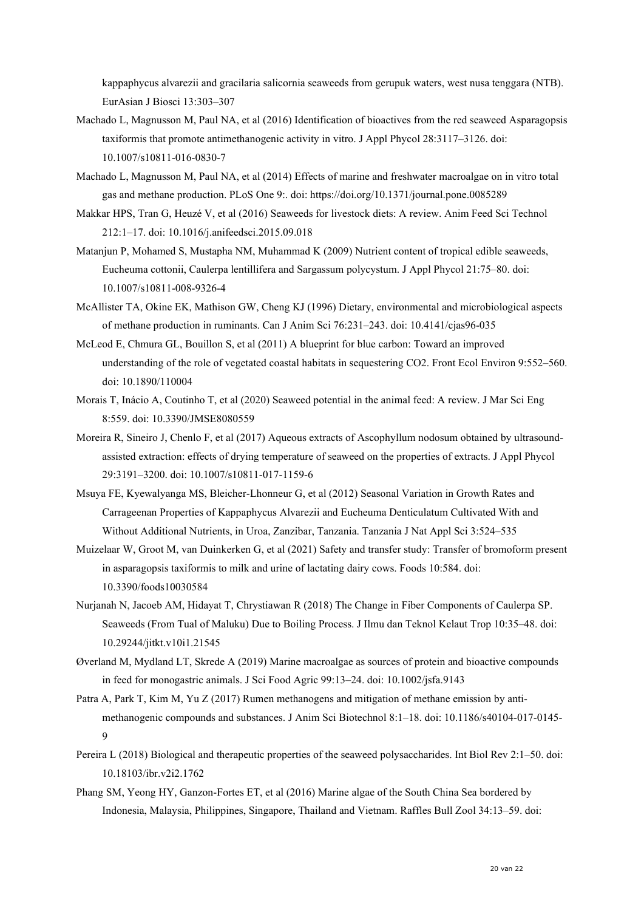kappaphycus alvarezii and gracilaria salicornia seaweeds from gerupuk waters, west nusa tenggara (NTB). EurAsian J Biosci 13:303–307

- Machado L, Magnusson M, Paul NA, et al (2016) Identification of bioactives from the red seaweed Asparagopsis taxiformis that promote antimethanogenic activity in vitro. J Appl Phycol 28:3117–3126. doi: 10.1007/s10811-016-0830-7
- Machado L, Magnusson M, Paul NA, et al (2014) Effects of marine and freshwater macroalgae on in vitro total gas and methane production. PLoS One 9:. doi: https://doi.org/10.1371/journal.pone.0085289
- Makkar HPS, Tran G, Heuzé V, et al (2016) Seaweeds for livestock diets: A review. Anim Feed Sci Technol 212:1–17. doi: 10.1016/j.anifeedsci.2015.09.018
- Matanjun P, Mohamed S, Mustapha NM, Muhammad K (2009) Nutrient content of tropical edible seaweeds, Eucheuma cottonii, Caulerpa lentillifera and Sargassum polycystum. J Appl Phycol 21:75–80. doi: 10.1007/s10811-008-9326-4
- McAllister TA, Okine EK, Mathison GW, Cheng KJ (1996) Dietary, environmental and microbiological aspects of methane production in ruminants. Can J Anim Sci 76:231–243. doi: 10.4141/cjas96-035
- McLeod E, Chmura GL, Bouillon S, et al (2011) A blueprint for blue carbon: Toward an improved understanding of the role of vegetated coastal habitats in sequestering CO2. Front Ecol Environ 9:552–560. doi: 10.1890/110004
- Morais T, Inácio A, Coutinho T, et al (2020) Seaweed potential in the animal feed: A review. J Mar Sci Eng 8:559. doi: 10.3390/JMSE8080559
- Moreira R, Sineiro J, Chenlo F, et al (2017) Aqueous extracts of Ascophyllum nodosum obtained by ultrasoundassisted extraction: effects of drying temperature of seaweed on the properties of extracts. J Appl Phycol 29:3191–3200. doi: 10.1007/s10811-017-1159-6
- Msuya FE, Kyewalyanga MS, Bleicher-Lhonneur G, et al (2012) Seasonal Variation in Growth Rates and Carrageenan Properties of Kappaphycus Alvarezii and Eucheuma Denticulatum Cultivated With and Without Additional Nutrients, in Uroa, Zanzibar, Tanzania. Tanzania J Nat Appl Sci 3:524–535
- Muizelaar W, Groot M, van Duinkerken G, et al (2021) Safety and transfer study: Transfer of bromoform present in asparagopsis taxiformis to milk and urine of lactating dairy cows. Foods 10:584. doi: 10.3390/foods10030584
- Nurjanah N, Jacoeb AM, Hidayat T, Chrystiawan R (2018) The Change in Fiber Components of Caulerpa SP. Seaweeds (From Tual of Maluku) Due to Boiling Process. J Ilmu dan Teknol Kelaut Trop 10:35–48. doi: 10.29244/jitkt.v10i1.21545
- Øverland M, Mydland LT, Skrede A (2019) Marine macroalgae as sources of protein and bioactive compounds in feed for monogastric animals. J Sci Food Agric 99:13–24. doi: 10.1002/jsfa.9143
- Patra A, Park T, Kim M, Yu Z (2017) Rumen methanogens and mitigation of methane emission by antimethanogenic compounds and substances. J Anim Sci Biotechnol 8:1–18. doi: 10.1186/s40104-017-0145- 9
- Pereira L (2018) Biological and therapeutic properties of the seaweed polysaccharides. Int Biol Rev 2:1–50. doi: 10.18103/ibr.v2i2.1762
- Phang SM, Yeong HY, Ganzon-Fortes ET, et al (2016) Marine algae of the South China Sea bordered by Indonesia, Malaysia, Philippines, Singapore, Thailand and Vietnam. Raffles Bull Zool 34:13–59. doi: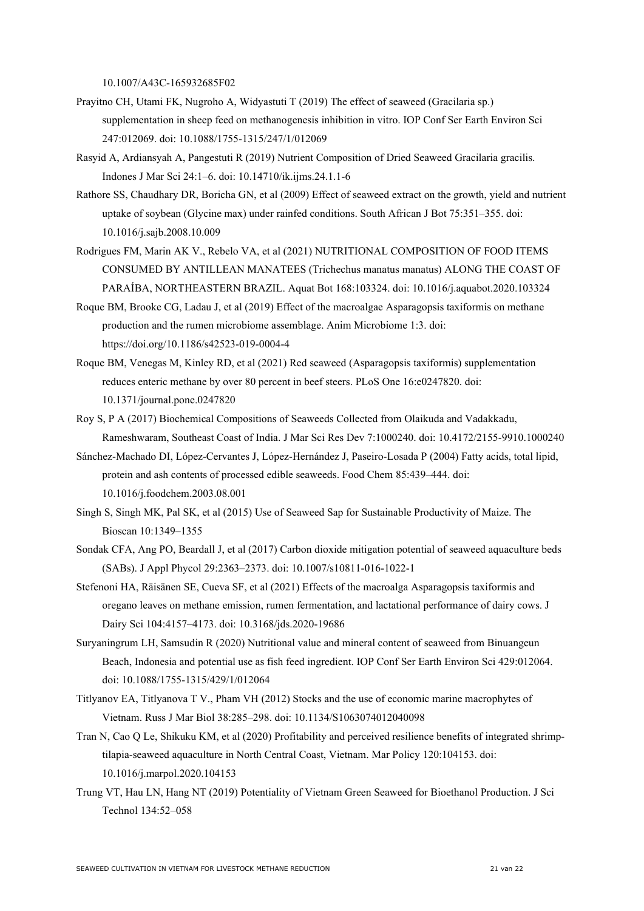10.1007/A43C-165932685F02

- Prayitno CH, Utami FK, Nugroho A, Widyastuti T (2019) The effect of seaweed (Gracilaria sp.) supplementation in sheep feed on methanogenesis inhibition in vitro. IOP Conf Ser Earth Environ Sci 247:012069. doi: 10.1088/1755-1315/247/1/012069
- Rasyid A, Ardiansyah A, Pangestuti R (2019) Nutrient Composition of Dried Seaweed Gracilaria gracilis. Indones J Mar Sci 24:1–6. doi: 10.14710/ik.ijms.24.1.1-6
- Rathore SS, Chaudhary DR, Boricha GN, et al (2009) Effect of seaweed extract on the growth, yield and nutrient uptake of soybean (Glycine max) under rainfed conditions. South African J Bot 75:351–355. doi: 10.1016/j.sajb.2008.10.009
- Rodrigues FM, Marin AK V., Rebelo VA, et al (2021) NUTRITIONAL COMPOSITION OF FOOD ITEMS CONSUMED BY ANTILLEAN MANATEES (Trichechus manatus manatus) ALONG THE COAST OF PARAÍBA, NORTHEASTERN BRAZIL. Aquat Bot 168:103324. doi: 10.1016/j.aquabot.2020.103324
- Roque BM, Brooke CG, Ladau J, et al (2019) Effect of the macroalgae Asparagopsis taxiformis on methane production and the rumen microbiome assemblage. Anim Microbiome 1:3. doi: https://doi.org/10.1186/s42523-019-0004-4
- Roque BM, Venegas M, Kinley RD, et al (2021) Red seaweed (Asparagopsis taxiformis) supplementation reduces enteric methane by over 80 percent in beef steers. PLoS One 16:e0247820. doi: 10.1371/journal.pone.0247820
- Roy S, P A (2017) Biochemical Compositions of Seaweeds Collected from Olaikuda and Vadakkadu, Rameshwaram, Southeast Coast of India. J Mar Sci Res Dev 7:1000240. doi: 10.4172/2155-9910.1000240
- Sánchez-Machado DI, López-Cervantes J, López-Hernández J, Paseiro-Losada P (2004) Fatty acids, total lipid, protein and ash contents of processed edible seaweeds. Food Chem 85:439–444. doi: 10.1016/j.foodchem.2003.08.001
- Singh S, Singh MK, Pal SK, et al (2015) Use of Seaweed Sap for Sustainable Productivity of Maize. The Bioscan 10:1349–1355
- Sondak CFA, Ang PO, Beardall J, et al (2017) Carbon dioxide mitigation potential of seaweed aquaculture beds (SABs). J Appl Phycol 29:2363–2373. doi: 10.1007/s10811-016-1022-1
- Stefenoni HA, Räisänen SE, Cueva SF, et al (2021) Effects of the macroalga Asparagopsis taxiformis and oregano leaves on methane emission, rumen fermentation, and lactational performance of dairy cows. J Dairy Sci 104:4157–4173. doi: 10.3168/jds.2020-19686
- Suryaningrum LH, Samsudin R (2020) Nutritional value and mineral content of seaweed from Binuangeun Beach, Indonesia and potential use as fish feed ingredient. IOP Conf Ser Earth Environ Sci 429:012064. doi: 10.1088/1755-1315/429/1/012064
- Titlyanov EA, Titlyanova T V., Pham VH (2012) Stocks and the use of economic marine macrophytes of Vietnam. Russ J Mar Biol 38:285–298. doi: 10.1134/S1063074012040098
- Tran N, Cao Q Le, Shikuku KM, et al (2020) Profitability and perceived resilience benefits of integrated shrimptilapia-seaweed aquaculture in North Central Coast, Vietnam. Mar Policy 120:104153. doi: 10.1016/j.marpol.2020.104153
- Trung VT, Hau LN, Hang NT (2019) Potentiality of Vietnam Green Seaweed for Bioethanol Production. J Sci Technol 134:52–058